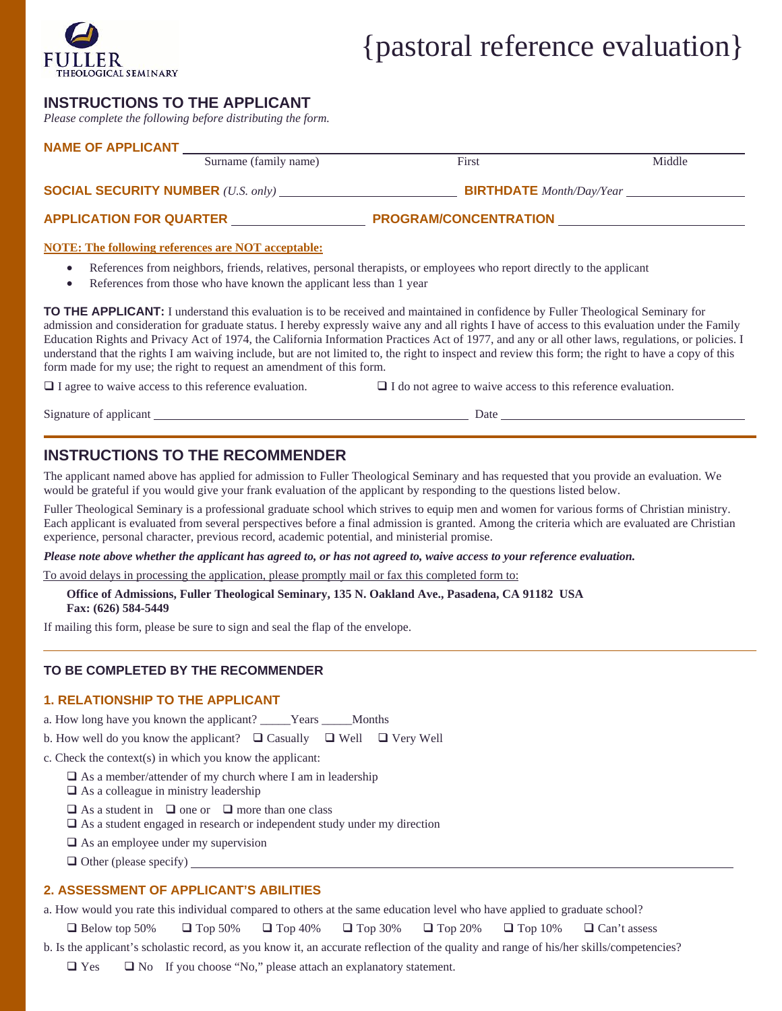

# {pastoral reference evaluation}

# **INSTRUCTIONS TO THE APPLICANT**

*Please complete the following before distributing the form.* 

|  | Surname (family name)          | First                                                 | Middle |  |  |  |
|--|--------------------------------|-------------------------------------------------------|--------|--|--|--|
|  |                                | <b>BIRTHDATE</b> Month/Day/Year                       |        |  |  |  |
|  | <b>APPLICATION FOR QUARTER</b> | PROGRAM/CONCENTRATION NAMES AND THE RESERVE OF STREET |        |  |  |  |

• References from those who have known the applicant less than 1 year

**TO THE APPLICANT:** I understand this evaluation is to be received and maintained in confidence by Fuller Theological Seminary for admission and consideration for graduate status. I hereby expressly waive any and all rights I have of access to this evaluation under the Family Education Rights and Privacy Act of 1974, the California Information Practices Act of 1977, and any or all other laws, regulations, or policies. I understand that the rights I am waiving include, but are not limited to, the right to inspect and review this form; the right to have a copy of this form made for my use; the right to request an amendment of this form.

 $\Box$  I agree to waive access to this reference evaluation.  $\Box$  I do not agree to waive access to this reference evaluation.

Signature of applicant <u>Date and Signature of applicant</u> Date <u>Date</u> Date <u>Date</u>

# **INSTRUCTIONS TO THE RECOMMENDER**

The applicant named above has applied for admission to Fuller Theological Seminary and has requested that you provide an evaluation. We would be grateful if you would give your frank evaluation of the applicant by responding to the questions listed below.

Fuller Theological Seminary is a professional graduate school which strives to equip men and women for various forms of Christian ministry. Each applicant is evaluated from several perspectives before a final admission is granted. Among the criteria which are evaluated are Christian experience, personal character, previous record, academic potential, and ministerial promise.

*Please note above whether the applicant has agreed to, or has not agreed to, waive access to your reference evaluation.* 

To avoid delays in processing the application, please promptly mail or fax this completed form to:

**Office of Admissions, Fuller Theological Seminary, 135 N. Oakland Ave., Pasadena, CA 91182 USA Fax: (626) 584-5449** 

If mailing this form, please be sure to sign and seal the flap of the envelope.

#### **TO BE COMPLETED BY THE RECOMMENDER**

#### **1. RELATIONSHIP TO THE APPLICANT**

a. How long have you known the applicant? \_\_\_\_\_Years \_\_\_\_\_Months

b. How well do you know the applicant?  $\Box$  Casually  $\Box$  Well  $\Box$  Very Well

c. Check the context(s) in which you know the applicant:

- $\square$  As a member/attender of my church where I am in leadership
- $\Box$  As a colleague in ministry leadership
- $\Box$  As a student in  $\Box$  one or  $\Box$  more than one class
- $\Box$  As a student engaged in research or independent study under my direction
- $\Box$  As an employee under my supervision
- $\Box$  Other (please specify)

#### **2. ASSESSMENT OF APPLICANT'S ABILITIES**

a. How would you rate this individual compared to others at the same education level who have applied to graduate school?

 $\Box$  Below top 50%  $\Box$  Top 50%  $\Box$  Top 40%  $\Box$  Top 30%  $\Box$  Top 20%  $\Box$  Top 10%  $\Box$  Can't assess

b. Is the applicant's scholastic record, as you know it, an accurate reflection of the quality and range of his/her skills/competencies?

 $\Box$  Yes  $\Box$  No If you choose "No," please attach an explanatory statement.